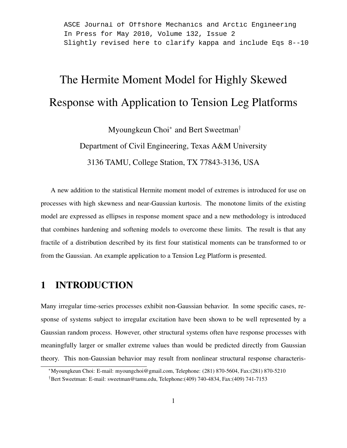ASCE Journal of Offshore Mechanics and Arctic Engineering In Press for May 2010, Volume 132, Issue 2 Slightly revised here to clarify kappa and include Eqs 8--10

# The Hermite Moment Model for Highly Skewed Response with Application to Tension Leg Platforms

Myoungkeun Choi<sup>∗</sup> and Bert Sweetman<sup>†</sup>

Department of Civil Engineering, Texas A&M University

3136 TAMU, College Station, TX 77843-3136, USA

A new addition to the statistical Hermite moment model of extremes is introduced for use on processes with high skewness and near-Gaussian kurtosis. The monotone limits of the existing model are expressed as ellipses in response moment space and a new methodology is introduced that combines hardening and softening models to overcome these limits. The result is that any fractile of a distribution described by its first four statistical moments can be transformed to or from the Gaussian. An example application to a Tension Leg Platform is presented.

# 1 INTRODUCTION

Many irregular time-series processes exhibit non-Gaussian behavior. In some specific cases, response of systems subject to irregular excitation have been shown to be well represented by a Gaussian random process. However, other structural systems often have response processes with meaningfully larger or smaller extreme values than would be predicted directly from Gaussian theory. This non-Gaussian behavior may result from nonlinear structural response characteris-

<sup>∗</sup>Myoungkeun Choi: E-mail: myoungchoi@gmail.com, Telephone: (281) 870-5604, Fax:(281) 870-5210

<sup>†</sup>Bert Sweetman: E-mail: sweetman@tamu.edu, Telephone:(409) 740-4834, Fax:(409) 741-7153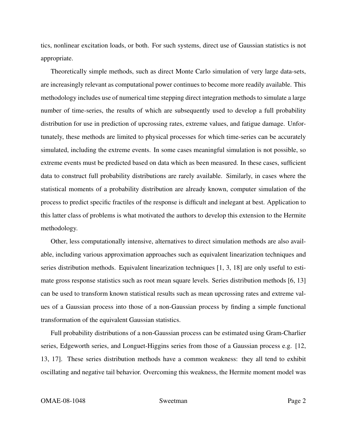tics, nonlinear excitation loads, or both. For such systems, direct use of Gaussian statistics is not appropriate.

Theoretically simple methods, such as direct Monte Carlo simulation of very large data-sets, are increasingly relevant as computational power continues to become more readily available. This methodology includes use of numerical time stepping direct integration methods to simulate a large number of time-series, the results of which are subsequently used to develop a full probability distribution for use in prediction of upcrossing rates, extreme values, and fatigue damage. Unfortunately, these methods are limited to physical processes for which time-series can be accurately simulated, including the extreme events. In some cases meaningful simulation is not possible, so extreme events must be predicted based on data which as been measured. In these cases, sufficient data to construct full probability distributions are rarely available. Similarly, in cases where the statistical moments of a probability distribution are already known, computer simulation of the process to predict specific fractiles of the response is difficult and inelegant at best. Application to this latter class of problems is what motivated the authors to develop this extension to the Hermite methodology.

Other, less computationally intensive, alternatives to direct simulation methods are also available, including various approximation approaches such as equivalent linearization techniques and series distribution methods. Equivalent linearization techniques [1, 3, 18] are only useful to estimate gross response statistics such as root mean square levels. Series distribution methods [6, 13] can be used to transform known statistical results such as mean upcrossing rates and extreme values of a Gaussian process into those of a non-Gaussian process by finding a simple functional transformation of the equivalent Gaussian statistics.

Full probability distributions of a non-Gaussian process can be estimated using Gram-Charlier series, Edgeworth series, and Longuet-Higgins series from those of a Gaussian process e.g. [12, 13, 17]. These series distribution methods have a common weakness: they all tend to exhibit oscillating and negative tail behavior. Overcoming this weakness, the Hermite moment model was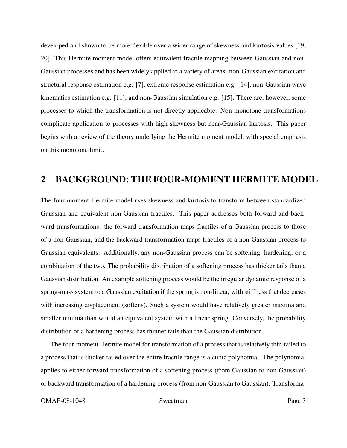developed and shown to be more flexible over a wider range of skewness and kurtosis values [19, 20]. This Hermite moment model offers equivalent fractile mapping between Gaussian and non-Gaussian processes and has been widely applied to a variety of areas: non-Gaussian excitation and structural response estimation e.g. [7], extreme response estimation e.g. [14], non-Gaussian wave kinematics estimation e.g. [11], and non-Gaussian simulation e.g. [15]. There are, however, some processes to which the transformation is not directly applicable. Non-monotone transformations complicate application to processes with high skewness but near-Gaussian kurtosis. This paper begins with a review of the theory underlying the Hermite moment model, with special emphasis on this monotone limit.

# 2 BACKGROUND: THE FOUR-MOMENT HERMITE MODEL

The four-moment Hermite model uses skewness and kurtosis to transform between standardized Gaussian and equivalent non-Gaussian fractiles. This paper addresses both forward and backward transformations: the forward transformation maps fractiles of a Gaussian process to those of a non-Gaussian, and the backward transformation maps fractiles of a non-Gaussian process to Gaussian equivalents. Additionally, any non-Gaussian process can be softening, hardening, or a combination of the two. The probability distribution of a softening process has thicker tails than a Gaussian distribution. An example softening process would be the irregular dynamic response of a spring-mass system to a Gaussian excitation if the spring is non-linear, with stiffness that decreases with increasing displacement (softens). Such a system would have relatively greater maxima and smaller minima than would an equivalent system with a linear spring. Conversely, the probability distribution of a hardening process has thinner tails than the Gaussian distribution.

The four-moment Hermite model for transformation of a process that is relatively thin-tailed to a process that is thicker-tailed over the entire fractile range is a cubic polynomial. The polynomial applies to either forward transformation of a softening process (from Gaussian to non-Gaussian) or backward transformation of a hardening process (from non-Gaussian to Gaussian). Transforma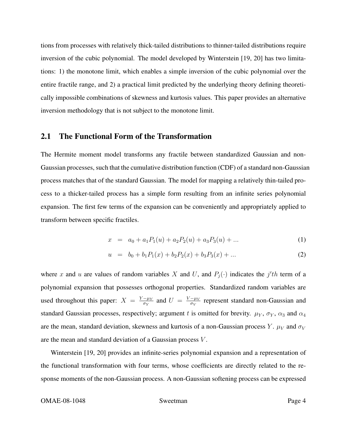tions from processes with relatively thick-tailed distributions to thinner-tailed distributions require inversion of the cubic polynomial. The model developed by Winterstein [19, 20] has two limitations: 1) the monotone limit, which enables a simple inversion of the cubic polynomial over the entire fractile range, and 2) a practical limit predicted by the underlying theory defining theoretically impossible combinations of skewness and kurtosis values. This paper provides an alternative inversion methodology that is not subject to the monotone limit.

#### 2.1 The Functional Form of the Transformation

The Hermite moment model transforms any fractile between standardized Gaussian and non-Gaussian processes, such that the cumulative distribution function (CDF) of a standard non-Gaussian process matches that of the standard Gaussian. The model for mapping a relatively thin-tailed process to a thicker-tailed process has a simple form resulting from an infinite series polynomial expansion. The first few terms of the expansion can be conveniently and appropriately applied to transform between specific fractiles.

$$
x = a_0 + a_1 P_1(u) + a_2 P_2(u) + a_3 P_3(u) + \dots \tag{1}
$$

$$
u = b_0 + b_1 P_1(x) + b_2 P_2(x) + b_3 P_3(x) + \dots \tag{2}
$$

where x and u are values of random variables X and U, and  $P_j(\cdot)$  indicates the j'th term of a polynomial expansion that possesses orthogonal properties. Standardized random variables are used throughout this paper:  $X = \frac{Y - \mu_Y}{\sigma_Y}$  $\frac{-\mu_Y}{\sigma_Y}$  and  $U = \frac{V - \mu_V}{\sigma_V}$  $\frac{-\mu_V}{\sigma_V}$  represent standard non-Gaussian and standard Gaussian processes, respectively; argument t is omitted for brevity.  $\mu_Y$ ,  $\sigma_Y$ ,  $\alpha_3$  and  $\alpha_4$ are the mean, standard deviation, skewness and kurtosis of a non-Gaussian process Y.  $\mu_V$  and  $\sigma_V$ are the mean and standard deviation of a Gaussian process V .

Winterstein [19, 20] provides an infinite-series polynomial expansion and a representation of the functional transformation with four terms, whose coefficients are directly related to the response moments of the non-Gaussian process. A non-Gaussian softening process can be expressed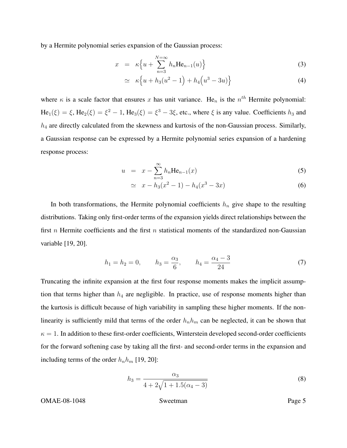by a Hermite polynomial series expansion of the Gaussian process:

$$
x = \kappa \left\{ u + \sum_{n=3}^{N=\infty} h_n \text{He}_{n-1}(u) \right\}
$$
 (3)

$$
\simeq \kappa \left\{ u + h_3(u^2 - 1) + h_4\left(u^3 - 3u\right) \right\} \tag{4}
$$

where  $\kappa$  is a scale factor that ensures x has unit variance. He<sub>n</sub> is the  $n^{th}$  Hermite polynomial:  $He_1(\xi) = \xi$ ,  $He_2(\xi) = \xi^2 - 1$ ,  $He_3(\xi) = \xi^3 - 3\xi$ , etc., where  $\xi$  is any value. Coefficients  $h_3$  and  $h_4$  are directly calculated from the skewness and kurtosis of the non-Gaussian process. Similarly, a Gaussian response can be expressed by a Hermite polynomial series expansion of a hardening response process:

$$
u = x - \sum_{n=3}^{\infty} h_n \text{He}_{n-1}(x)
$$
 (5)

$$
\simeq x - h_3(x^2 - 1) - h_4(x^3 - 3x) \tag{6}
$$

In both transformations, the Hermite polynomial coefficients  $h_n$  give shape to the resulting distributions. Taking only first-order terms of the expansion yields direct relationships between the first n Hermite coefficients and the first n statistical moments of the standardized non-Gaussian variable [19, 20].

$$
h_1 = h_2 = 0,
$$
  $h_3 = \frac{\alpha_3}{6},$   $h_4 = \frac{\alpha_4 - 3}{24}$  (7)

Truncating the infinite expansion at the first four response moments makes the implicit assumption that terms higher than  $h_4$  are negligible. In practice, use of response moments higher than the kurtosis is difficult because of high variability in sampling these higher moments. If the nonlinearity is sufficiently mild that terms of the order  $h_n h_m$  can be neglected, it can be shown that  $\kappa = 1$ . In addition to these first-order coefficients, Winterstein developed second-order coefficients for the forward softening case by taking all the first- and second-order terms in the expansion and including terms of the order  $h_n h_m$  [19, 20]:

$$
h_3 = \frac{\alpha_3}{4 + 2\sqrt{1 + 1.5(\alpha_4 - 3)}}
$$
\n(8)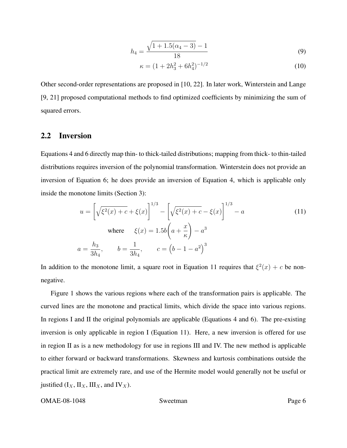$$
h_4 = \frac{\sqrt{1 + 1.5(\alpha_4 - 3)} - 1}{18} \tag{9}
$$

$$
\kappa = (1 + 2h_3^2 + 6h_4^2)^{-1/2} \tag{10}
$$

Other second-order representations are proposed in [10, 22]. In later work, Winterstein and Lange [9, 21] proposed computational methods to find optimized coefficients by minimizing the sum of squared errors.

#### 2.2 Inversion

Equations 4 and 6 directly map thin- to thick-tailed distributions; mapping from thick- to thin-tailed distributions requires inversion of the polynomial transformation. Winterstein does not provide an inversion of Equation 6; he does provide an inversion of Equation 4, which is applicable only inside the monotone limits (Section 3):

$$
u = \left[\sqrt{\xi^2(x) + c} + \xi(x)\right]^{1/3} - \left[\sqrt{\xi^2(x) + c} - \xi(x)\right]^{1/3} - a
$$
  
where  $\xi(x) = 1.5b\left(a + \frac{x}{\kappa}\right) - a^3$   

$$
a = \frac{h_3}{3h_4}, \qquad b = \frac{1}{3h_4}, \qquad c = \left(b - 1 - a^2\right)^3
$$
 (11)

In addition to the monotone limit, a square root in Equation 11 requires that  $\xi^2(x) + c$  be nonnegative.

Figure 1 shows the various regions where each of the transformation pairs is applicable. The curved lines are the monotone and practical limits, which divide the space into various regions. In regions I and II the original polynomials are applicable (Equations 4 and 6). The pre-existing inversion is only applicable in region I (Equation 11). Here, a new inversion is offered for use in region II as is a new methodology for use in regions III and IV. The new method is applicable to either forward or backward transformations. Skewness and kurtosis combinations outside the practical limit are extremely rare, and use of the Hermite model would generally not be useful or justified  $(I_X, II_X, III_X,$  and  $IV_X$ ).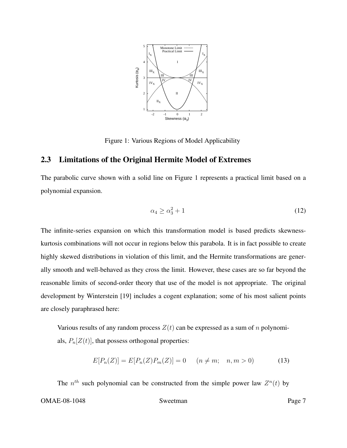

Figure 1: Various Regions of Model Applicability

### 2.3 Limitations of the Original Hermite Model of Extremes

The parabolic curve shown with a solid line on Figure 1 represents a practical limit based on a polynomial expansion.

$$
\alpha_4 \ge \alpha_3^2 + 1 \tag{12}
$$

The infinite-series expansion on which this transformation model is based predicts skewnesskurtosis combinations will not occur in regions below this parabola. It is in fact possible to create highly skewed distributions in violation of this limit, and the Hermite transformations are generally smooth and well-behaved as they cross the limit. However, these cases are so far beyond the reasonable limits of second-order theory that use of the model is not appropriate. The original development by Winterstein [19] includes a cogent explanation; some of his most salient points are closely paraphrased here:

Various results of any random process  $Z(t)$  can be expressed as a sum of n polynomials,  $P_n[Z(t)]$ , that possess orthogonal properties:

$$
E[P_n(Z)] = E[P_n(Z)P_m(Z)] = 0 \t (n \neq m; n, m > 0)
$$
\t(13)

The  $n^{th}$  such polynomial can be constructed from the simple power law  $Z^n(t)$  by OMAE-08-1048 Sweetman Page 7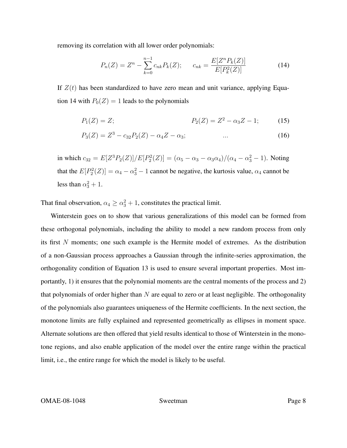removing its correlation with all lower order polynomials:

$$
P_n(Z) = Z^n - \sum_{k=0}^{n-1} c_{nk} P_k(Z); \qquad c_{nk} = \frac{E[Z^n P_k(Z)]}{E[P_k^2(Z)]}
$$
(14)

If  $Z(t)$  has been standardized to have zero mean and unit variance, applying Equation 14 with  $P_0(Z) = 1$  leads to the polynomials

$$
P_1(Z) = Z; \qquad P_2(Z) = Z^2 - \alpha_3 Z - 1; \qquad (15)
$$

$$
P_3(Z) = Z^3 - c_{32}P_2(Z) - \alpha_4 Z - \alpha_3; \tag{16}
$$

in which  $c_{32} = E[Z^3 P_2(Z)]/E[P_2^2(Z)] = (\alpha_5 - \alpha_3 - \alpha_3 \alpha_4)/(\alpha_4 - \alpha_3^2 - 1)$ . Noting that the  $E[P_2^2(Z)] = \alpha_4 - \alpha_3^2 - 1$  cannot be negative, the kurtosis value,  $\alpha_4$  cannot be less than  $\alpha_3^2 + 1$ .

That final observation,  $\alpha_4 \ge \alpha_3^2 + 1$ , constitutes the practical limit.

Winterstein goes on to show that various generalizations of this model can be formed from these orthogonal polynomials, including the ability to model a new random process from only its first N moments; one such example is the Hermite model of extremes. As the distribution of a non-Gaussian process approaches a Gaussian through the infinite-series approximation, the orthogonality condition of Equation 13 is used to ensure several important properties. Most importantly, 1) it ensures that the polynomial moments are the central moments of the process and 2) that polynomials of order higher than  $N$  are equal to zero or at least negligible. The orthogonality of the polynomials also guarantees uniqueness of the Hermite coefficients. In the next section, the monotone limits are fully explained and represented geometrically as ellipses in moment space. Alternate solutions are then offered that yield results identical to those of Winterstein in the monotone regions, and also enable application of the model over the entire range within the practical limit, i.e., the entire range for which the model is likely to be useful.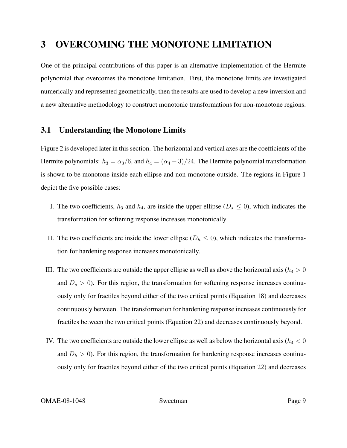# 3 OVERCOMING THE MONOTONE LIMITATION

One of the principal contributions of this paper is an alternative implementation of the Hermite polynomial that overcomes the monotone limitation. First, the monotone limits are investigated numerically and represented geometrically, then the results are used to develop a new inversion and a new alternative methodology to construct monotonic transformations for non-monotone regions.

### 3.1 Understanding the Monotone Limits

Figure 2 is developed later in this section. The horizontal and vertical axes are the coefficients of the Hermite polynomials:  $h_3 = \alpha_3/6$ , and  $h_4 = (\alpha_4 - 3)/24$ . The Hermite polynomial transformation is shown to be monotone inside each ellipse and non-monotone outside. The regions in Figure 1 depict the five possible cases:

- I. The two coefficients,  $h_3$  and  $h_4$ , are inside the upper ellipse ( $D_s \le 0$ ), which indicates the transformation for softening response increases monotonically.
- II. The two coefficients are inside the lower ellipse ( $D_h \leq 0$ ), which indicates the transformation for hardening response increases monotonically.
- III. The two coefficients are outside the upper ellipse as well as above the horizontal axis ( $h_4 > 0$ and  $D_s > 0$ ). For this region, the transformation for softening response increases continuously only for fractiles beyond either of the two critical points (Equation 18) and decreases continuously between. The transformation for hardening response increases continuously for fractiles between the two critical points (Equation 22) and decreases continuously beyond.
- IV. The two coefficients are outside the lower ellipse as well as below the horizontal axis ( $h_4 < 0$ and  $D<sub>h</sub> > 0$ ). For this region, the transformation for hardening response increases continuously only for fractiles beyond either of the two critical points (Equation 22) and decreases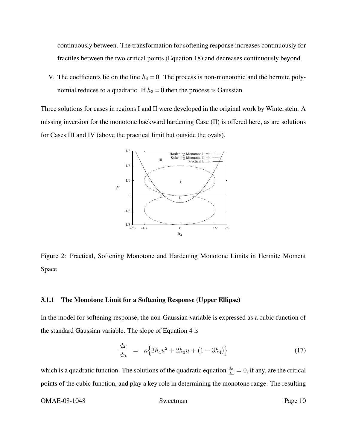continuously between. The transformation for softening response increases continuously for fractiles between the two critical points (Equation 18) and decreases continuously beyond.

V. The coefficients lie on the line  $h_4 = 0$ . The process is non-monotonic and the hermite polynomial reduces to a quadratic. If  $h_3 = 0$  then the process is Gaussian.

Three solutions for cases in regions I and II were developed in the original work by Winterstein. A missing inversion for the monotone backward hardening Case (II) is offered here, as are solutions for Cases III and IV (above the practical limit but outside the ovals).



Figure 2: Practical, Softening Monotone and Hardening Monotone Limits in Hermite Moment Space

#### 3.1.1 The Monotone Limit for a Softening Response (Upper Ellipse)

In the model for softening response, the non-Gaussian variable is expressed as a cubic function of the standard Gaussian variable. The slope of Equation 4 is

$$
\frac{dx}{du} = \kappa \left\{ 3h_4 u^2 + 2h_3 u + (1 - 3h_4) \right\} \tag{17}
$$

which is a quadratic function. The solutions of the quadratic equation  $\frac{dx}{du} = 0$ , if any, are the critical points of the cubic function, and play a key role in determining the monotone range. The resulting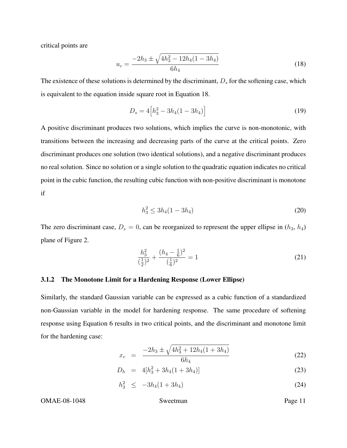critical points are

$$
u_c = \frac{-2h_3 \pm \sqrt{4h_3^2 - 12h_4(1 - 3h_4)}}{6h_4} \tag{18}
$$

The existence of these solutions is determined by the discriminant,  $D_s$  for the softening case, which is equivalent to the equation inside square root in Equation 18.

$$
D_s = 4[h_3^2 - 3h_4(1 - 3h_4)]
$$
\n(19)

A positive discriminant produces two solutions, which implies the curve is non-monotonic, with transitions between the increasing and decreasing parts of the curve at the critical points. Zero discriminant produces one solution (two identical solutions), and a negative discriminant produces no real solution. Since no solution or a single solution to the quadratic equation indicates no critical point in the cubic function, the resulting cubic function with non-positive discriminant is monotone if

$$
h_3^2 \le 3h_4(1 - 3h_4) \tag{20}
$$

The zero discriminant case,  $D_s = 0$ , can be reorganized to represent the upper ellipse in  $(h_3, h_4)$ plane of Figure 2.

$$
\frac{h_3^2}{\left(\frac{1}{2}\right)^2} + \frac{(h_4 - \frac{1}{6})^2}{\left(\frac{1}{6}\right)^2} = 1\tag{21}
$$

#### 3.1.2 The Monotone Limit for a Hardening Response (Lower Ellipse)

Similarly, the standard Gaussian variable can be expressed as a cubic function of a standardized non-Gaussian variable in the model for hardening response. The same procedure of softening response using Equation 6 results in two critical points, and the discriminant and monotone limit for the hardening case:

$$
x_c = \frac{-2h_3 \pm \sqrt{4h_3^2 + 12h_4(1 + 3h_4)}}{6h_4} \tag{22}
$$

$$
D_h = 4[h_3^2 + 3h_4(1+3h_4)] \tag{23}
$$

$$
h_3^2 \leq -3h_4(1+3h_4) \tag{24}
$$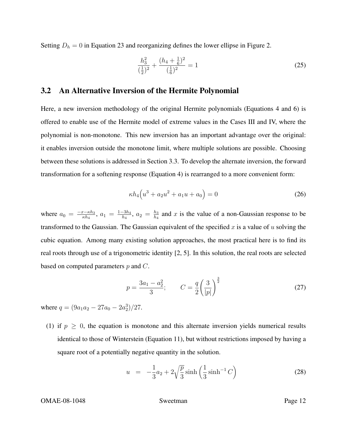Setting  $D_h = 0$  in Equation 23 and reorganizing defines the lower ellipse in Figure 2.

$$
\frac{h_3^2}{\left(\frac{1}{2}\right)^2} + \frac{(h_4 + \frac{1}{6})^2}{\left(\frac{1}{6}\right)^2} = 1\tag{25}
$$

### 3.2 An Alternative Inversion of the Hermite Polynomial

Here, a new inversion methodology of the original Hermite polynomials (Equations 4 and 6) is offered to enable use of the Hermite model of extreme values in the Cases III and IV, where the polynomial is non-monotone. This new inversion has an important advantage over the original: it enables inversion outside the monotone limit, where multiple solutions are possible. Choosing between these solutions is addressed in Section 3.3. To develop the alternate inversion, the forward transformation for a softening response (Equation 4) is rearranged to a more convenient form:

$$
\kappa h_4(u^3 + a_2 u^2 + a_1 u + a_0) = 0 \tag{26}
$$

where  $a_0 = \frac{-x-\kappa h_3}{\kappa h_4}$  $\frac{c-\kappa h_3}{\kappa h_4}$ ,  $a_1 = \frac{1-3h_4}{h_4}$  $\frac{-3h_4}{h_4},\ a_2\,=\,\frac{h_3}{h_4}$  $\frac{h_3}{h_4}$  and x is the value of a non-Gaussian response to be transformed to the Gaussian. The Gaussian equivalent of the specified x is a value of u solving the cubic equation. Among many existing solution approaches, the most practical here is to find its real roots through use of a trigonometric identity [2, 5]. In this solution, the real roots are selected based on computed parameters  $p$  and  $C$ .

$$
p = \frac{3a_1 - a_2^2}{3}; \qquad C = \frac{q}{2} \left(\frac{3}{|p|}\right)^{\frac{3}{2}} \tag{27}
$$

where  $q = (9a_1a_2 - 27a_0 - 2a_2^3)/27$ .

(1) if  $p \geq 0$ , the equation is monotone and this alternate inversion yields numerical results identical to those of Winterstein (Equation 11), but without restrictions imposed by having a square root of a potentially negative quantity in the solution.

$$
u = -\frac{1}{3}a_2 + 2\sqrt{\frac{p}{3}}\sinh\left(\frac{1}{3}\sinh^{-1}C\right)
$$
 (28)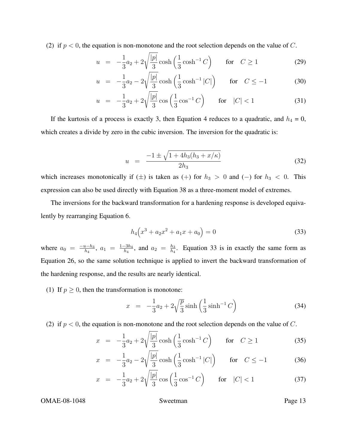(2) if  $p < 0$ , the equation is non-monotone and the root selection depends on the value of C.

$$
u = -\frac{1}{3}a_2 + 2\sqrt{\frac{|p|}{3}}\cosh\left(\frac{1}{3}\cosh^{-1}C\right) \quad \text{for} \quad C \ge 1
$$
 (29)

$$
u = -\frac{1}{3}a_2 - 2\sqrt{\frac{|p|}{3}}\cosh\left(\frac{1}{3}\cosh^{-1}|C|\right) \quad \text{for} \quad C \le -1 \tag{30}
$$

$$
u = -\frac{1}{3}a_2 + 2\sqrt{\frac{|p|}{3}}\cos\left(\frac{1}{3}\cos^{-1}C\right) \quad \text{for} \quad |C| < 1 \tag{31}
$$

If the kurtosis of a process is exactly 3, then Equation 4 reduces to a quadratic, and  $h_4 = 0$ , which creates a divide by zero in the cubic inversion. The inversion for the quadratic is:

$$
u = \frac{-1 \pm \sqrt{1 + 4h_3(h_3 + x/\kappa)}}{2h_3} \tag{32}
$$

which increases monotonically if ( $\pm$ ) is taken as (+) for  $h_3 > 0$  and (-) for  $h_3 < 0$ . This expression can also be used directly with Equation 38 as a three-moment model of extremes.

The inversions for the backward transformation for a hardening response is developed equivalently by rearranging Equation 6.

$$
h_4(x^3 + a_2x^2 + a_1x + a_0) = 0
$$
\n(33)

where  $a_0 = \frac{-u-h_3}{h_4}$  $\frac{1-h_3}{h_4}, a_1 = \frac{1-3h_4}{h_4}$  $\frac{-3h_4}{h_4}$ , and  $a_2 = \frac{h_3}{h_4}$  $\frac{h_3}{h_4}$ . Equation 33 is in exactly the same form as Equation 26, so the same solution technique is applied to invert the backward transformation of the hardening response, and the results are nearly identical.

(1) If  $p \ge 0$ , then the transformation is monotone:

$$
x = -\frac{1}{3}a_2 + 2\sqrt{\frac{p}{3}}\sinh\left(\frac{1}{3}\sinh^{-1}C\right)
$$
 (34)

(2) if  $p < 0$ , the equation is non-monotone and the root selection depends on the value of C.

$$
x = -\frac{1}{3}a_2 + 2\sqrt{\frac{|p|}{3}}\cosh\left(\frac{1}{3}\cosh^{-1}C\right) \quad \text{for} \quad C \ge 1
$$
 (35)

$$
x = -\frac{1}{3}a_2 - 2\sqrt{\frac{|p|}{3}}\cosh\left(\frac{1}{3}\cosh^{-1}|C|\right) \quad \text{for} \quad C \le -1 \tag{36}
$$

$$
x = -\frac{1}{3}a_2 + 2\sqrt{\frac{|p|}{3}}\cos\left(\frac{1}{3}\cos^{-1}C\right) \quad \text{for} \quad |C| < 1 \tag{37}
$$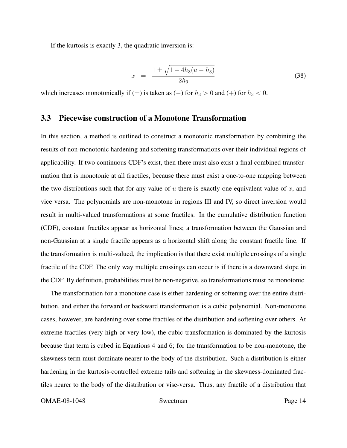If the kurtosis is exactly 3, the quadratic inversion is:

$$
x = \frac{1 \pm \sqrt{1 + 4h_3(u - h_3)}}{2h_3} \tag{38}
$$

which increases monotonically if ( $\pm$ ) is taken as ( $-$ ) for  $h_3 > 0$  and ( $+$ ) for  $h_3 < 0$ .

#### 3.3 Piecewise construction of a Monotone Transformation

In this section, a method is outlined to construct a monotonic transformation by combining the results of non-monotonic hardening and softening transformations over their individual regions of applicability. If two continuous CDF's exist, then there must also exist a final combined transformation that is monotonic at all fractiles, because there must exist a one-to-one mapping between the two distributions such that for any value of  $u$  there is exactly one equivalent value of  $x$ , and vice versa. The polynomials are non-monotone in regions III and IV, so direct inversion would result in multi-valued transformations at some fractiles. In the cumulative distribution function (CDF), constant fractiles appear as horizontal lines; a transformation between the Gaussian and non-Gaussian at a single fractile appears as a horizontal shift along the constant fractile line. If the transformation is multi-valued, the implication is that there exist multiple crossings of a single fractile of the CDF. The only way multiple crossings can occur is if there is a downward slope in the CDF. By definition, probabilities must be non-negative, so transformations must be monotonic.

The transformation for a monotone case is either hardening or softening over the entire distribution, and either the forward or backward transformation is a cubic polynomial. Non-monotone cases, however, are hardening over some fractiles of the distribution and softening over others. At extreme fractiles (very high or very low), the cubic transformation is dominated by the kurtosis because that term is cubed in Equations 4 and 6; for the transformation to be non-monotone, the skewness term must dominate nearer to the body of the distribution. Such a distribution is either hardening in the kurtosis-controlled extreme tails and softening in the skewness-dominated fractiles nearer to the body of the distribution or vise-versa. Thus, any fractile of a distribution that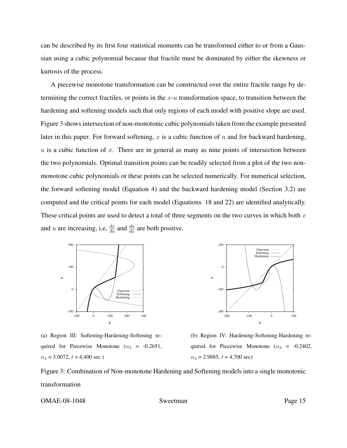can be described by its first four statistical moments can be transformed either to or from a Gaussian using a cubic polynomial because that fractile must be dominated by either the skewness or kurtosis of the process.

A piecewise monotone transformation can be constructed over the entire fractile range by determining the correct fractiles, or points in the  $x-u$  transformation space, to transition between the hardening and softening models such that only regions of each model with positive slope are used. Figure 3 shows intersection of non-monotonic cubic polynomials taken from the example presented later in this paper. For forward softening,  $x$  is a cubic function of  $u$  and for backward hardening,  $u$  is a cubic function of  $x$ . There are in general as many as nine points of intersection between the two polynomials. Optimal transition points can be readily selected from a plot of the two nonmonotone cubic polynomials or these points can be selected numerically. For numerical selection, the forward softening model (Equation 4) and the backward hardening model (Section 3.2) are computed and the critical points for each model (Equations 18 and 22) are identified analytically. These critical points are used to detect a total of three segments on the two curves in which both  $x$ and u are increasing, i.e,  $\frac{dx}{du}$  and  $\frac{du}{dx}$  are both positive.





(a) Region III: Softening-Hardening-Softening required for Piecewise Monotone ( $\alpha_3$  = -0.2651,  $\alpha_4 = 3.0072, t = 4,400 \text{ sec}$ )

(b) Region IV: Hardening-Softening-Hardening required for Piecewise Monotone ( $\alpha_3$  = -0.2402,  $\alpha_4 = 2.9885, t = 4,700 \text{ sec}$ 

Figure 3: Combination of Non-monotone Hardening and Softening models into a single monotonic transformation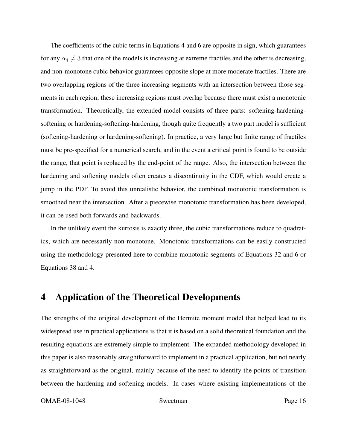The coefficients of the cubic terms in Equations 4 and 6 are opposite in sign, which guarantees for any  $\alpha_4 \neq 3$  that one of the models is increasing at extreme fractiles and the other is decreasing, and non-monotone cubic behavior guarantees opposite slope at more moderate fractiles. There are two overlapping regions of the three increasing segments with an intersection between those segments in each region; these increasing regions must overlap because there must exist a monotonic transformation. Theoretically, the extended model consists of three parts: softening-hardeningsoftening or hardening-softening-hardening, though quite frequently a two part model is sufficient (softening-hardening or hardening-softening). In practice, a very large but finite range of fractiles must be pre-specified for a numerical search, and in the event a critical point is found to be outside the range, that point is replaced by the end-point of the range. Also, the intersection between the hardening and softening models often creates a discontinuity in the CDF, which would create a jump in the PDF. To avoid this unrealistic behavior, the combined monotonic transformation is smoothed near the intersection. After a piecewise monotonic transformation has been developed, it can be used both forwards and backwards.

In the unlikely event the kurtosis is exactly three, the cubic transformations reduce to quadratics, which are necessarily non-monotone. Monotonic transformations can be easily constructed using the methodology presented here to combine monotonic segments of Equations 32 and 6 or Equations 38 and 4.

## 4 Application of the Theoretical Developments

The strengths of the original development of the Hermite moment model that helped lead to its widespread use in practical applications is that it is based on a solid theoretical foundation and the resulting equations are extremely simple to implement. The expanded methodology developed in this paper is also reasonably straightforward to implement in a practical application, but not nearly as straightforward as the original, mainly because of the need to identify the points of transition between the hardening and softening models. In cases where existing implementations of the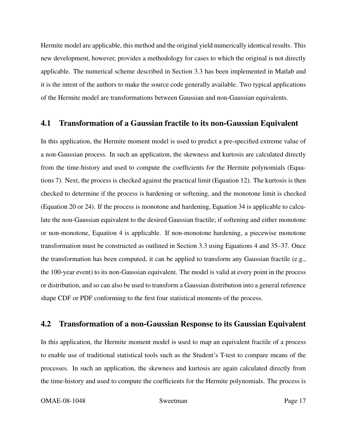Hermite model are applicable, this method and the original yield numerically identical results. This new development, however, provides a methodology for cases to which the original is not directly applicable. The numerical scheme described in Section 3.3 has been implemented in Matlab and it is the intent of the authors to make the source code generally available. Two typical applications of the Hermite model are transformations between Gaussian and non-Gaussian equivalents.

#### 4.1 Transformation of a Gaussian fractile to its non-Gaussian Equivalent

In this application, the Hermite moment model is used to predict a pre-specified extreme value of a non-Gaussian process. In such an application, the skewness and kurtosis are calculated directly from the time-history and used to compute the coefficients for the Hermite polynomials (Equations 7). Next, the process is checked against the practical limit (Equation 12). The kurtosis is then checked to determine if the process is hardening or softening, and the monotone limit is checked (Equation 20 or 24). If the process is monotone and hardening, Equation 34 is applicable to calculate the non-Gaussian equivalent to the desired Gaussian fractile; if softening and either monotone or non-monotone, Equation 4 is applicable. If non-monotone hardening, a piecewise monotone transformation must be constructed as outlined in Section 3.3 using Equations 4 and 35–37. Once the transformation has been computed, it can be applied to transform any Gaussian fractile (e.g., the 100-year event) to its non-Gaussian equivalent. The model is valid at every point in the process or distribution, and so can also be used to transform a Gaussian distribution into a general reference shape CDF or PDF conforming to the first four statistical moments of the process.

### 4.2 Transformation of a non-Gaussian Response to its Gaussian Equivalent

In this application, the Hermite moment model is used to map an equivalent fractile of a process to enable use of traditional statistical tools such as the Student's T-test to compare means of the processes. In such an application, the skewness and kurtosis are again calculated directly from the time-history and used to compute the coefficients for the Hermite polynomials. The process is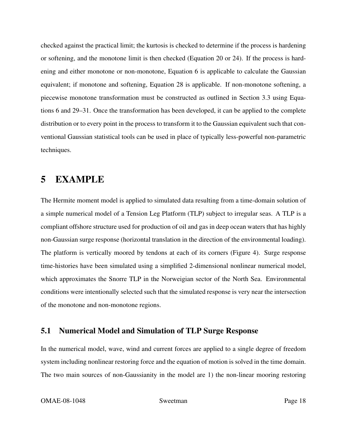checked against the practical limit; the kurtosis is checked to determine if the process is hardening or softening, and the monotone limit is then checked (Equation 20 or 24). If the process is hardening and either monotone or non-monotone, Equation 6 is applicable to calculate the Gaussian equivalent; if monotone and softening, Equation 28 is applicable. If non-monotone softening, a piecewise monotone transformation must be constructed as outlined in Section 3.3 using Equations 6 and 29–31. Once the transformation has been developed, it can be applied to the complete distribution or to every point in the process to transform it to the Gaussian equivalent such that conventional Gaussian statistical tools can be used in place of typically less-powerful non-parametric techniques.

# 5 EXAMPLE

The Hermite moment model is applied to simulated data resulting from a time-domain solution of a simple numerical model of a Tension Leg Platform (TLP) subject to irregular seas. A TLP is a compliant offshore structure used for production of oil and gas in deep ocean waters that has highly non-Gaussian surge response (horizontal translation in the direction of the environmental loading). The platform is vertically moored by tendons at each of its corners (Figure 4). Surge response time-histories have been simulated using a simplified 2-dimensional nonlinear numerical model, which approximates the Snorre TLP in the Norweigian sector of the North Sea. Environmental conditions were intentionally selected such that the simulated response is very near the intersection of the monotone and non-monotone regions.

### 5.1 Numerical Model and Simulation of TLP Surge Response

In the numerical model, wave, wind and current forces are applied to a single degree of freedom system including nonlinear restoring force and the equation of motion is solved in the time domain. The two main sources of non-Gaussianity in the model are 1) the non-linear mooring restoring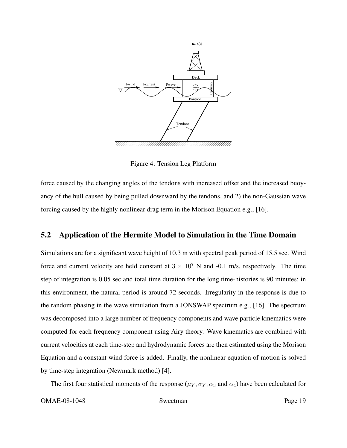

Figure 4: Tension Leg Platform

force caused by the changing angles of the tendons with increased offset and the increased buoyancy of the hull caused by being pulled downward by the tendons, and 2) the non-Gaussian wave forcing caused by the highly nonlinear drag term in the Morison Equation e.g., [16].

### 5.2 Application of the Hermite Model to Simulation in the Time Domain

Simulations are for a significant wave height of 10.3 m with spectral peak period of 15.5 sec. Wind force and current velocity are held constant at  $3 \times 10^7$  N and -0.1 m/s, respectively. The time step of integration is 0.05 sec and total time duration for the long time-histories is 90 minutes; in this environment, the natural period is around 72 seconds. Irregularity in the response is due to the random phasing in the wave simulation from a JONSWAP spectrum e.g., [16]. The spectrum was decomposed into a large number of frequency components and wave particle kinematics were computed for each frequency component using Airy theory. Wave kinematics are combined with current velocities at each time-step and hydrodynamic forces are then estimated using the Morison Equation and a constant wind force is added. Finally, the nonlinear equation of motion is solved by time-step integration (Newmark method) [4].

The first four statistical moments of the response ( $\mu_Y$ ,  $\sigma_Y$ ,  $\alpha_3$  and  $\alpha_4$ ) have been calculated for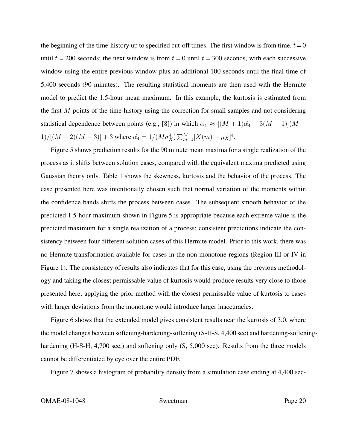the beginning of the time-history up to specified cut-off times. The first window is from time,  $t = 0$ until  $t = 200$  seconds; the next window is from  $t = 0$  until  $t = 300$  seconds, with each successive window using the entire previous window plus an additional 100 seconds until the final time of 5,400 seconds (90 minutes). The resulting statistical moments are then used with the Hermite model to predict the 1.5-hour mean maximum. In this example, the kurtosis is estimated from the first  $M$  points of the time-history using the correction for small samples and not considering statistical dependence between points (e.g., [8]) in which  $\alpha_4 \approx [(M+1)\hat{\alpha_4} - 3(M-1)](M -$ 1)/[ $(M-2)(M-3)$ ] + 3 where  $\hat{\alpha_4} = 1/(M\sigma_X^4) \sum_{m=1}^{M} [X(m) - \mu_X]^4$ .

Figure 5 shows prediction results for the 90 minute mean maxima for a single realization of the process as it shifts between solution cases, compared with the equivalent maxima predicted using Gaussian theory only. Table 1 shows the skewness, kurtosis and the behavior of the process. The case presented here was intentionally chosen such that normal variation of the moments within the confidence bands shifts the process between cases. The subsequent smooth behavior of the predicted 1.5-hour maximum shown in Figure 5 is appropriate because each extreme value is the predicted maximum for a single realization of a process; consistent predictions indicate the consistency between four different solution cases of this Hermite model. Prior to this work, there was no Hermite transformation available for cases in the non-monotone regions (Region III or IV in Figure 1). The consistency of results also indicates that for this case, using the previous methodology and taking the closest permissable value of kurtosis would produce results very close to those presented here; applying the prior method with the closest permissable value of kurtosis to cases with larger deviations from the monotone would introduce larger inaccuracies.

Figure 6 shows that the extended model gives consistent results near the kurtosis of 3.0, where the model changes between softening-hardening-softening (S-H-S, 4,400 sec) and hardening-softeninghardening (H-S-H, 4,700 sec.) and softening only (S, 5,000 sec). Results from the three models cannot be differentiated by eye over the entire PDF.

Figure 7 shows a histogram of probability density from a simulation case ending at 4,400 sec-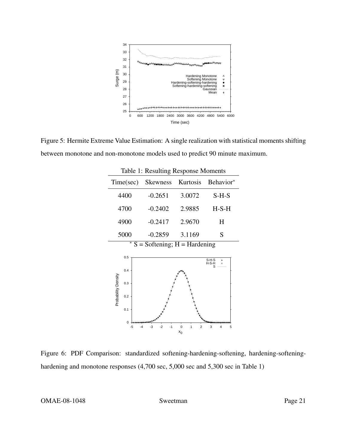

Figure 5: Hermite Extreme Value Estimation: A single realization with statistical moments shifting between monotone and non-monotone models used to predict 90 minute maximum.

| Table 1: Resulting Response Moments |              |                    |                                             |                                           |
|-------------------------------------|--------------|--------------------|---------------------------------------------|-------------------------------------------|
| Time(sec)                           |              | Skewness           | Kurtosis                                    | Behavior*                                 |
| 4400                                |              | $-0.2651$          | 3.0072                                      | $S-H-S$                                   |
| 4700                                |              | $-0.2402$          | 2.9885                                      | $H-S-H$                                   |
| 4900                                |              | $-0.2417$          | 2.9670                                      | H                                         |
| 5000                                |              | $-0.2859$ 3.1169   |                                             | S                                         |
| * $S =$ Softening; $H =$ Hardening  |              |                    |                                             |                                           |
|                                     | 0.5          |                    |                                             |                                           |
|                                     |              |                    |                                             | $S-H-S$<br>$\ddot{}$<br>$H-S-H$<br>×<br>S |
|                                     | 0.4          |                    |                                             |                                           |
|                                     | 0.3          |                    |                                             |                                           |
| Probability Density                 | 0.2          |                    |                                             |                                           |
|                                     | 0.1          |                    |                                             |                                           |
|                                     | <sup>0</sup> |                    |                                             |                                           |
|                                     | -5           | $-2$<br>$-1$<br>-3 | 1<br>$\mathbf 0$<br>$\overline{2}$<br>$x_0$ | 3<br>5<br>4                               |

Figure 6: PDF Comparison: standardized softening-hardening-softening, hardening-softeninghardening and monotone responses  $(4,700 \text{ sec}, 5,000 \text{ sec}$  and  $5,300 \text{ sec}$  in Table 1)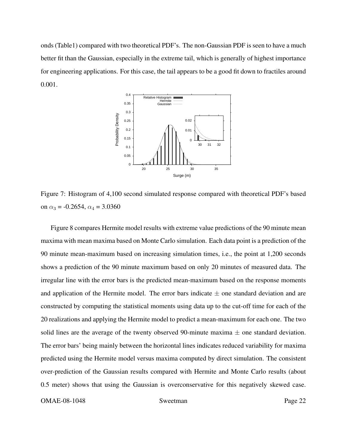onds (Table1) compared with two theoretical PDF's. The non-Gaussian PDF is seen to have a much better fit than the Gaussian, especially in the extreme tail, which is generally of highest importance for engineering applications. For this case, the tail appears to be a good fit down to fractiles around 0.001.



Figure 7: Histogram of 4,100 second simulated response compared with theoretical PDF's based on  $\alpha_3 = -0.2654$ ,  $\alpha_4 = 3.0360$ 

Figure 8 compares Hermite model results with extreme value predictions of the 90 minute mean maxima with mean maxima based on Monte Carlo simulation. Each data point is a prediction of the 90 minute mean-maximum based on increasing simulation times, i.e., the point at 1,200 seconds shows a prediction of the 90 minute maximum based on only 20 minutes of measured data. The irregular line with the error bars is the predicted mean-maximum based on the response moments and application of the Hermite model. The error bars indicate  $\pm$  one standard deviation and are constructed by computing the statistical moments using data up to the cut-off time for each of the 20 realizations and applying the Hermite model to predict a mean-maximum for each one. The two solid lines are the average of the twenty observed 90-minute maxima  $\pm$  one standard deviation. The error bars' being mainly between the horizontal lines indicates reduced variability for maxima predicted using the Hermite model versus maxima computed by direct simulation. The consistent over-prediction of the Gaussian results compared with Hermite and Monte Carlo results (about 0.5 meter) shows that using the Gaussian is overconservative for this negatively skewed case.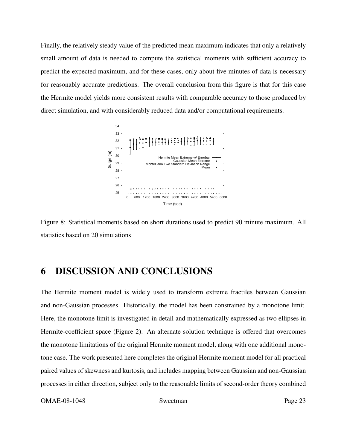Finally, the relatively steady value of the predicted mean maximum indicates that only a relatively small amount of data is needed to compute the statistical moments with sufficient accuracy to predict the expected maximum, and for these cases, only about five minutes of data is necessary for reasonably accurate predictions. The overall conclusion from this figure is that for this case the Hermite model yields more consistent results with comparable accuracy to those produced by direct simulation, and with considerably reduced data and/or computational requirements.



Figure 8: Statistical moments based on short durations used to predict 90 minute maximum. All statistics based on 20 simulations

# 6 DISCUSSION AND CONCLUSIONS

The Hermite moment model is widely used to transform extreme fractiles between Gaussian and non-Gaussian processes. Historically, the model has been constrained by a monotone limit. Here, the monotone limit is investigated in detail and mathematically expressed as two ellipses in Hermite-coefficient space (Figure 2). An alternate solution technique is offered that overcomes the monotone limitations of the original Hermite moment model, along with one additional monotone case. The work presented here completes the original Hermite moment model for all practical paired values of skewness and kurtosis, and includes mapping between Gaussian and non-Gaussian processes in either direction, subject only to the reasonable limits of second-order theory combined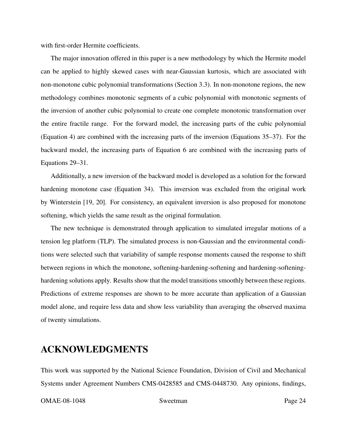with first-order Hermite coefficients.

The major innovation offered in this paper is a new methodology by which the Hermite model can be applied to highly skewed cases with near-Gaussian kurtosis, which are associated with non-monotone cubic polynomial transformations (Section 3.3). In non-monotone regions, the new methodology combines monotonic segments of a cubic polynomial with monotonic segments of the inversion of another cubic polynomial to create one complete monotonic transformation over the entire fractile range. For the forward model, the increasing parts of the cubic polynomial (Equation 4) are combined with the increasing parts of the inversion (Equations 35–37). For the backward model, the increasing parts of Equation 6 are combined with the increasing parts of Equations 29–31.

Additionally, a new inversion of the backward model is developed as a solution for the forward hardening monotone case (Equation 34). This inversion was excluded from the original work by Winterstein [19, 20]. For consistency, an equivalent inversion is also proposed for monotone softening, which yields the same result as the original formulation.

The new technique is demonstrated through application to simulated irregular motions of a tension leg platform (TLP). The simulated process is non-Gaussian and the environmental conditions were selected such that variability of sample response moments caused the response to shift between regions in which the monotone, softening-hardening-softening and hardening-softeninghardening solutions apply. Results show that the model transitions smoothly between these regions. Predictions of extreme responses are shown to be more accurate than application of a Gaussian model alone, and require less data and show less variability than averaging the observed maxima of twenty simulations.

### ACKNOWLEDGMENTS

This work was supported by the National Science Foundation, Division of Civil and Mechanical Systems under Agreement Numbers CMS-0428585 and CMS-0448730. Any opinions, findings,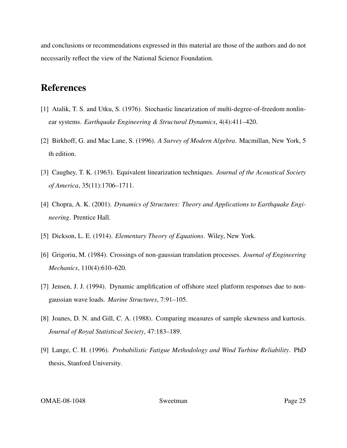and conclusions or recommendations expressed in this material are those of the authors and do not necessarily reflect the view of the National Science Foundation.

# References

- [1] Atalik, T. S. and Utku, S. (1976). Stochastic linearization of multi-degree-of-freedom nonlinear systems. *Earthquake Engineering & Structural Dynamics*, 4(4):411–420.
- [2] Birkhoff, G. and Mac Lane, S. (1996). *A Survey of Modern Algebra*. Macmillan, New York, 5 th edition.
- [3] Caughey, T. K. (1963). Equivalent linearization techniques. *Journal of the Acoustical Society of America*, 35(11):1706–1711.
- [4] Chopra, A. K. (2001). *Dynamics of Structures: Theory and Applications to Earthquake Engineering*. Prentice Hall.
- [5] Dickson, L. E. (1914). *Elementary Theory of Equations*. Wiley, New York.
- [6] Grigoriu, M. (1984). Crossings of non-gaussian translation processes. *Journal of Engineering Mechanics*, 110(4):610–620.
- [7] Jensen, J. J. (1994). Dynamic amplification of offshore steel platform responses due to nongaussian wave loads. *Marine Structures*, 7:91–105.
- [8] Joanes, D. N. and Gill, C. A. (1988). Comparing measures of sample skewness and kurtosis. *Journal of Royal Statistical Society*, 47:183–189.
- [9] Lange, C. H. (1996). *Probabilistic Fatigue Methodology and Wind Turbine Reliability*. PhD thesis, Stanford University.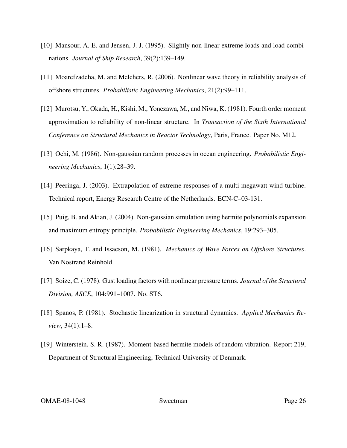- [10] Mansour, A. E. and Jensen, J. J. (1995). Slightly non-linear extreme loads and load combinations. *Journal of Ship Research*, 39(2):139–149.
- [11] Moarefzadeha, M. and Melchers, R. (2006). Nonlinear wave theory in reliability analysis of offshore structures. *Probabilistic Engineering Mechanics*, 21(2):99–111.
- [12] Murotsu, Y., Okada, H., Kishi, M., Yonezawa, M., and Niwa, K. (1981). Fourth order moment approximation to reliability of non-linear structure. In *Transaction of the Sixth International Conference on Structural Mechanics in Reactor Technology*, Paris, France. Paper No. M12.
- [13] Ochi, M. (1986). Non-gaussian random processes in ocean engineering. *Probabilistic Engineering Mechanics*, 1(1):28–39.
- [14] Peeringa, J. (2003). Extrapolation of extreme responses of a multi megawatt wind turbine. Technical report, Energy Research Centre of the Netherlands. ECN-C–03-131.
- [15] Puig, B. and Akian, J. (2004). Non-gaussian simulation using hermite polynomials expansion and maximum entropy principle. *Probabilistic Engineering Mechanics*, 19:293–305.
- [16] Sarpkaya, T. and Issacson, M. (1981). *Mechanics of Wave Forces on Offshore Structures*. Van Nostrand Reinhold.
- [17] Soize, C. (1978). Gust loading factors with nonlinear pressure terms. *Journal of the Structural Division, ASCE*, 104:991–1007. No. ST6.
- [18] Spanos, P. (1981). Stochastic linearization in structural dynamics. *Applied Mechanics Review*, 34(1):1–8.
- [19] Winterstein, S. R. (1987). Moment-based hermite models of random vibration. Report 219, Department of Structural Engineering, Technical University of Denmark.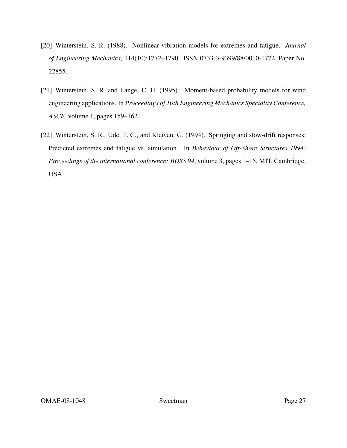- [20] Winterstein, S. R. (1988). Nonlinear vibration models for extremes and fatigue. *Journal of Engineering Mechanics*, 114(10):1772–1790. ISSN 0733-3-9399/88/0010-1772, Paper No. 22855.
- [21] Winterstein, S. R. and Lange, C. H. (1995). Moment-based probability models for wind engineering applications. In *Proceedings of 10th Engineering Mechanics Speciality Conference, ASCE*, volume 1, pages 159–162.
- [22] Winterstein, S. R., Ude, T. C., and Kleiven, G. (1994). Springing and slow-drift responses: Predicted extremes and fatigue vs. simulation. In *Behaviour of Off-Shore Structures 1994: Proceedings of the international conference: BOSS 94*, volume 3, pages 1–15, MIT, Cambridge, USA.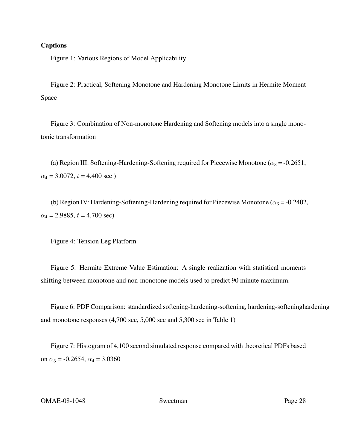#### Captions

Figure 1: Various Regions of Model Applicability

Figure 2: Practical, Softening Monotone and Hardening Monotone Limits in Hermite Moment Space

Figure 3: Combination of Non-monotone Hardening and Softening models into a single monotonic transformation

(a) Region III: Softening-Hardening-Softening required for Piecewise Monotone ( $\alpha_3$  = -0.2651,  $\alpha_4 = 3.0072$ ,  $t = 4,400$  sec)

(b) Region IV: Hardening-Softening-Hardening required for Piecewise Monotone ( $\alpha_3 = -0.2402$ ,  $\alpha_4 = 2.9885, t = 4,700 \text{ sec}$ 

Figure 4: Tension Leg Platform

Figure 5: Hermite Extreme Value Estimation: A single realization with statistical moments shifting between monotone and non-monotone models used to predict 90 minute maximum.

Figure 6: PDF Comparison: standardized softening-hardening-softening, hardening-softeninghardening and monotone responses (4,700 sec, 5,000 sec and 5,300 sec in Table 1)

Figure 7: Histogram of 4,100 second simulated response compared with theoretical PDFs based on  $\alpha_3 = -0.2654$ ,  $\alpha_4 = 3.0360$